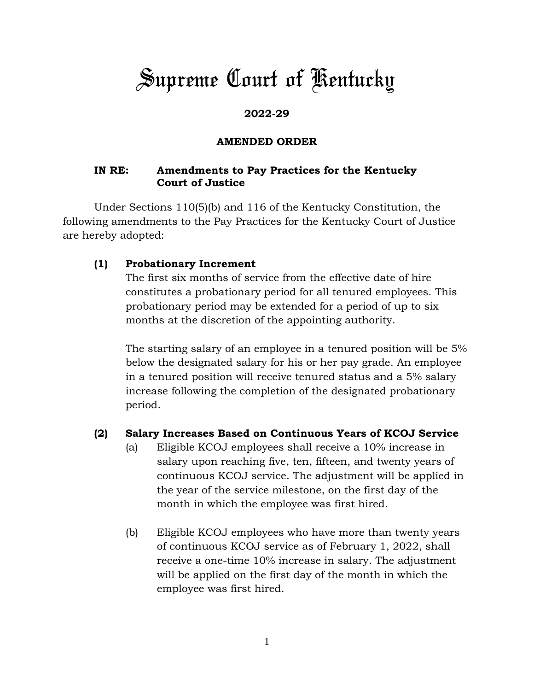# *Supreme Court of Kentucky*

# **2022-29**

## **AMENDED ORDER**

## **IN RE: Amendments to Pay Practices for the Kentucky Court of Justice**

Under Sections 110(5)(b) and 116 of the Kentucky Constitution, the following amendments to the Pay Practices for the Kentucky Court of Justice are hereby adopted:

## **(1) Probationary Increment**

The first six months of service from the effective date of hire constitutes a probationary period for all tenured employees. This probationary period may be extended for a period of up to six months at the discretion of the appointing authority.

The starting salary of an employee in a tenured position will be 5% below the designated salary for his or her pay grade. An employee in a tenured position will receive tenured status and a 5% salary increase following the completion of the designated probationary period.

### **(2) Salary Increases Based on Continuous Years of KCOJ Service**

- (a) Eligible KCOJ employees shall receive a 10% increase in salary upon reaching five, ten, fifteen, and twenty years of continuous KCOJ service. The adjustment will be applied in the year of the service milestone, on the first day of the month in which the employee was first hired.
- (b) Eligible KCOJ employees who have more than twenty years of continuous KCOJ service as of February 1, 2022, shall receive a one-time 10% increase in salary. The adjustment will be applied on the first day of the month in which the employee was first hired.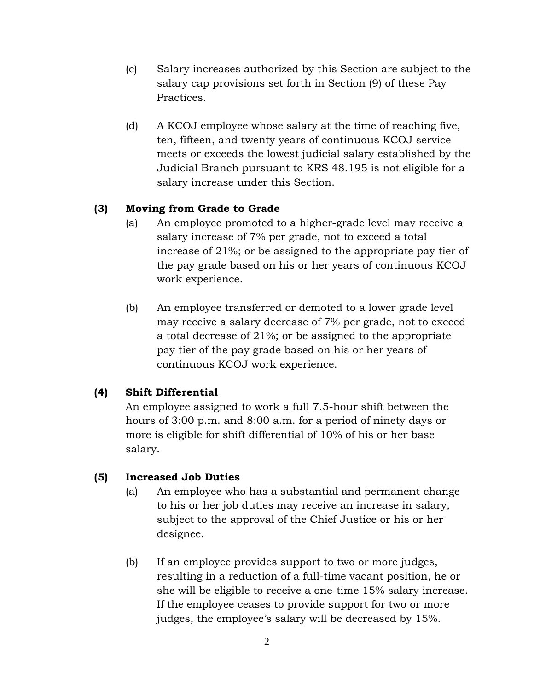- (c) Salary increases authorized by this Section are subject to the salary cap provisions set forth in Section (9) of these Pay Practices.
- (d) A KCOJ employee whose salary at the time of reaching five, ten, fifteen, and twenty years of continuous KCOJ service meets or exceeds the lowest judicial salary established by the Judicial Branch pursuant to KRS 48.195 is not eligible for a salary increase under this Section.

## **(3) Moving from Grade to Grade**

- (a) An employee promoted to a higher-grade level may receive a salary increase of 7% per grade, not to exceed a total increase of 21%; or be assigned to the appropriate pay tier of the pay grade based on his or her years of continuous KCOJ work experience.
- (b) An employee transferred or demoted to a lower grade level may receive a salary decrease of 7% per grade, not to exceed a total decrease of 21%; or be assigned to the appropriate pay tier of the pay grade based on his or her years of continuous KCOJ work experience.

### **(4) Shift Differential**

An employee assigned to work a full 7.5-hour shift between the hours of 3:00 p.m. and 8:00 a.m. for a period of ninety days or more is eligible for shift differential of 10% of his or her base salary.

### **(5) Increased Job Duties**

- (a) An employee who has a substantial and permanent change to his or her job duties may receive an increase in salary, subject to the approval of the Chief Justice or his or her designee.
- (b) If an employee provides support to two or more judges, resulting in a reduction of a full-time vacant position, he or she will be eligible to receive a one-time 15% salary increase. If the employee ceases to provide support for two or more judges, the employee's salary will be decreased by 15%.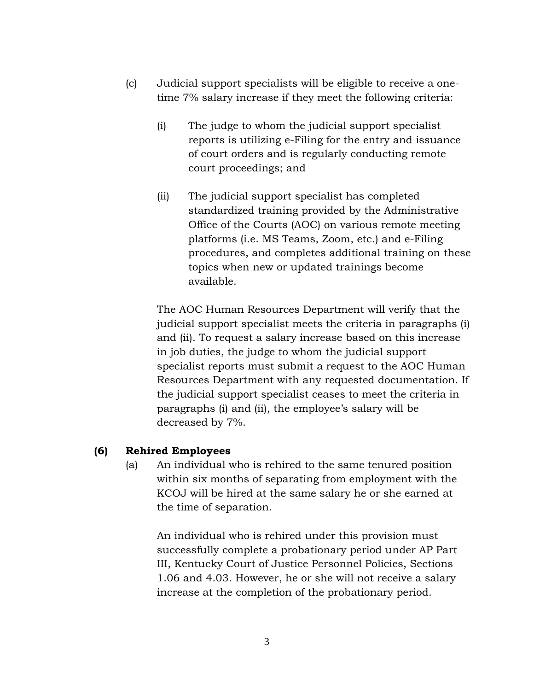- (c) Judicial support specialists will be eligible to receive a onetime 7% salary increase if they meet the following criteria:
	- (i) The judge to whom the judicial support specialist reports is utilizing e-Filing for the entry and issuance of court orders and is regularly conducting remote court proceedings; and
	- (ii) The judicial support specialist has completed standardized training provided by the Administrative Office of the Courts (AOC) on various remote meeting platforms (i.e. MS Teams, Zoom, etc.) and e-Filing procedures, and completes additional training on these topics when new or updated trainings become available.

The AOC Human Resources Department will verify that the judicial support specialist meets the criteria in paragraphs (i) and (ii). To request a salary increase based on this increase in job duties, the judge to whom the judicial support specialist reports must submit a request to the AOC Human Resources Department with any requested documentation. If the judicial support specialist ceases to meet the criteria in paragraphs (i) and (ii), the employee's salary will be decreased by 7%.

### **(6) Rehired Employees**

(a) An individual who is rehired to the same tenured position within six months of separating from employment with the KCOJ will be hired at the same salary he or she earned at the time of separation.

An individual who is rehired under this provision must successfully complete a probationary period under AP Part III, Kentucky Court of Justice Personnel Policies, Sections 1.06 and 4.03. However, he or she will not receive a salary increase at the completion of the probationary period.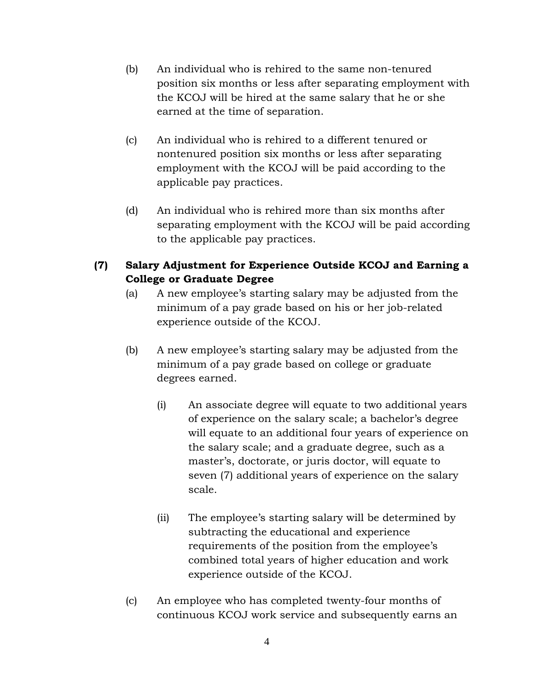- (b) An individual who is rehired to the same non-tenured position six months or less after separating employment with the KCOJ will be hired at the same salary that he or she earned at the time of separation.
- (c) An individual who is rehired to a different tenured or nontenured position six months or less after separating employment with the KCOJ will be paid according to the applicable pay practices.
- (d) An individual who is rehired more than six months after separating employment with the KCOJ will be paid according to the applicable pay practices.
- **(7) Salary Adjustment for Experience Outside KCOJ and Earning a College or Graduate Degree**
	- (a) A new employee's starting salary may be adjusted from the minimum of a pay grade based on his or her job-related experience outside of the KCOJ.
	- (b) A new employee's starting salary may be adjusted from the minimum of a pay grade based on college or graduate degrees earned.
		- (i) An associate degree will equate to two additional years of experience on the salary scale; a bachelor's degree will equate to an additional four years of experience on the salary scale; and a graduate degree, such as a master's, doctorate, or juris doctor, will equate to seven (7) additional years of experience on the salary scale.
		- (ii) The employee's starting salary will be determined by subtracting the educational and experience requirements of the position from the employee's combined total years of higher education and work experience outside of the KCOJ.
	- (c) An employee who has completed twenty-four months of continuous KCOJ work service and subsequently earns an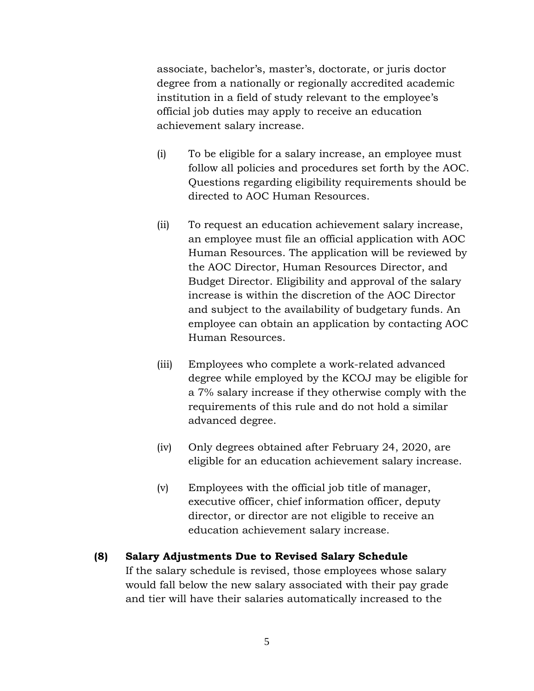associate, bachelor's, master's, doctorate, or juris doctor degree from a nationally or regionally accredited academic institution in a field of study relevant to the employee's official job duties may apply to receive an education achievement salary increase.

- (i) To be eligible for a salary increase, an employee must follow all policies and procedures set forth by the AOC. Questions regarding eligibility requirements should be directed to AOC Human Resources.
- (ii) To request an education achievement salary increase, an employee must file an official application with AOC Human Resources. The application will be reviewed by the AOC Director, Human Resources Director, and Budget Director. Eligibility and approval of the salary increase is within the discretion of the AOC Director and subject to the availability of budgetary funds. An employee can obtain an application by contacting AOC Human Resources.
- (iii) Employees who complete a work-related advanced degree while employed by the KCOJ may be eligible for a 7% salary increase if they otherwise comply with the requirements of this rule and do not hold a similar advanced degree.
- (iv) Only degrees obtained after February 24, 2020, are eligible for an education achievement salary increase.
- (v) Employees with the official job title of manager, executive officer, chief information officer, deputy director, or director are not eligible to receive an education achievement salary increase.

# **(8) Salary Adjustments Due to Revised Salary Schedule** If the salary schedule is revised, those employees whose salary would fall below the new salary associated with their pay grade and tier will have their salaries automatically increased to the